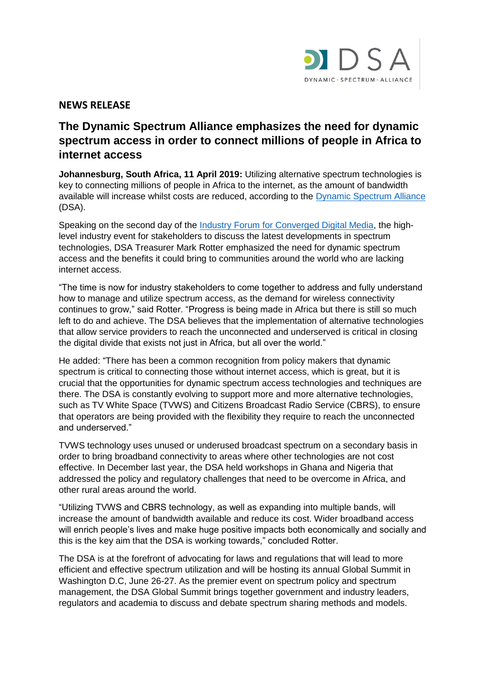

## **NEWS RELEASE**

# **The Dynamic Spectrum Alliance emphasizes the need for dynamic spectrum access in order to connect millions of people in Africa to internet access**

**Johannesburg, South Africa, 11 April 2019:** Utilizing alternative spectrum technologies is key to connecting millions of people in Africa to the internet, as the amount of bandwidth available will increase whilst costs are reduced, according to the [Dynamic Spectrum Alliance](http://dynamicspectrumalliance.org/) (DSA).

Speaking on the second day of the [Industry Forum for Converged Digital Media,](https://broadcastingandmedia.com/event/event.php?EID=354) the highlevel industry event for stakeholders to discuss the latest developments in spectrum technologies, DSA Treasurer Mark Rotter emphasized the need for dynamic spectrum access and the benefits it could bring to communities around the world who are lacking internet access.

"The time is now for industry stakeholders to come together to address and fully understand how to manage and utilize spectrum access, as the demand for wireless connectivity continues to grow," said Rotter. "Progress is being made in Africa but there is still so much left to do and achieve. The DSA believes that the implementation of alternative technologies that allow service providers to reach the unconnected and underserved is critical in closing the digital divide that exists not just in Africa, but all over the world."

He added: "There has been a common recognition from policy makers that dynamic spectrum is critical to connecting those without internet access, which is great, but it is crucial that the opportunities for dynamic spectrum access technologies and techniques are there. The DSA is constantly evolving to support more and more alternative technologies, such as TV White Space (TVWS) and Citizens Broadcast Radio Service (CBRS), to ensure that operators are being provided with the flexibility they require to reach the unconnected and underserved."

TVWS technology uses unused or underused broadcast spectrum on a secondary basis in order to bring broadband connectivity to areas where other technologies are not cost effective. In December last year, the DSA held workshops in Ghana and Nigeria that addressed the policy and regulatory challenges that need to be overcome in Africa, and other rural areas around the world.

"Utilizing TVWS and CBRS technology, as well as expanding into multiple bands, will increase the amount of bandwidth available and reduce its cost. Wider broadband access will enrich people's lives and make huge positive impacts both economically and socially and this is the key aim that the DSA is working towards," concluded Rotter.

The DSA is at the forefront of advocating for laws and regulations that will lead to more efficient and effective spectrum utilization and will be hosting its annual Global Summit in Washington D.C, June 26-27. As the premier event on spectrum policy and spectrum management, the DSA Global Summit brings together government and industry leaders, regulators and academia to discuss and debate spectrum sharing methods and models.